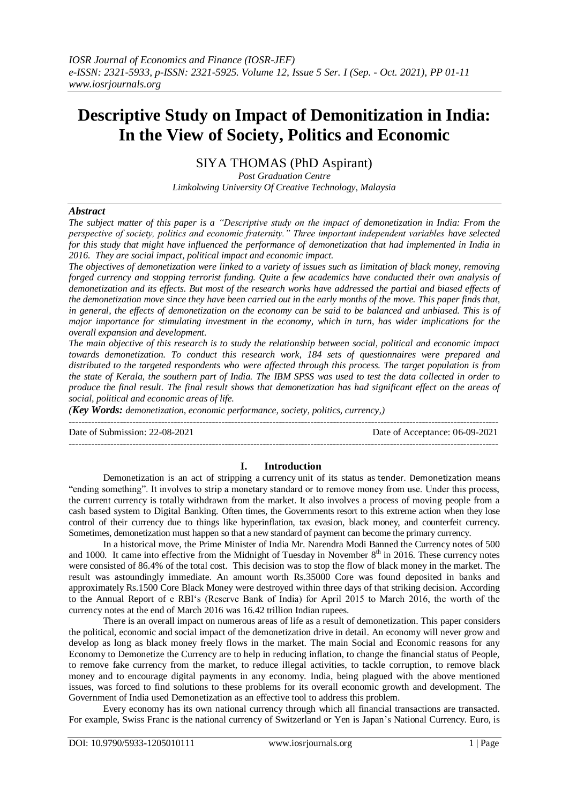# **Descriptive Study on Impact of Demonitization in India: In the View of Society, Politics and Economic**

SIYA THOMAS (PhD Aspirant)

*Post Graduation Centre Limkokwing University Of Creative Technology, Malaysia*

# *Abstract*

*The subject matter of this paper is a "Descriptive study on the impact of demonetization in India: From the perspective of society, politics and economic fraternity." Three important independent variables have selected for this study that might have influenced the performance of demonetization that had implemented in India in 2016. They are social impact, political impact and economic impact.* 

*The objectives of demonetization were linked to a variety of issues such as limitation of black money, removing forged currency and stopping terrorist funding. Quite a few academics have conducted their own analysis of demonetization and its effects. But most of the research works have addressed the partial and biased effects of the demonetization move since they have been carried out in the early months of the move. This paper finds that, in general, the effects of demonetization on the economy can be said to be balanced and unbiased. This is of major importance for stimulating investment in the economy, which in turn, has wider implications for the overall expansion and development.*

*The main objective of this research is to study the relationship between social, political and economic impact towards demonetization. To conduct this research work, 184 sets of questionnaires were prepared and distributed to the targeted respondents who were affected through this process. The target population is from the state of Kerala, the southern part of India. The IBM SPSS was used to test the data collected in order to produce the final result. The final result shows that demonetization has had significant effect on the areas of social, political and economic areas of life.* 

*(Key Words: demonetization, economic performance, society, politics, currency,)*

Date of Submission: 22-08-2021 Date of Acceptance: 06-09-2021

---------------------------------------------------------------------------------------------------------------------------------------

## **I. Introduction**

---------------------------------------------------------------------------------------------------------------------------------------

Demonetization is an act of stripping a [currency](https://www.investopedia.com/terms/c/currency.asp) unit of its status as tender. Demonetization means "ending something". It involves to strip a monetary standard or to remove money from use. Under this process, the current currency is totally withdrawn from the market. It also involves a process of moving people from a cash based system to Digital Banking. Often times, the Governments resort to this extreme action when they lose control of their currency due to things like hyperinflation, tax evasion, black money, and counterfeit currency. Sometimes, demonetization must happen so that a new standard of payment can become the primary currency.

In a historical move, the Prime Minister of India Mr. Narendra Modi Banned the Currency notes of 500 and 1000. It came into effective from the Midnight of Tuesday in November  $8<sup>th</sup>$  in 2016. These currency notes were consisted of 86.4% of the total cost. This decision was to stop the flow of black money in the market. The result was astoundingly immediate. An amount worth Rs.35000 Core was found deposited in banks and approximately Rs.1500 Core Black Money were destroyed within three days of that striking decision. According to the Annual Report of e RBI's (Reserve Bank of India) for April 2015 to March 2016, the worth of the currency notes at the end of March 2016 was 16.42 trillion Indian rupees.

There is an overall impact on numerous areas of life as a result of demonetization. This paper considers the political, economic and social impact of the demonetization drive in detail. An economy will never grow and develop as long as black money freely flows in the market. The main Social and Economic reasons for any Economy to Demonetize the Currency are to help in reducing inflation, to change the financial status of People, to remove fake currency from the market, to reduce illegal activities, to tackle corruption, to remove black money and to encourage digital payments in any economy. India, being plagued with the above mentioned issues, was forced to find solutions to these problems for its overall economic growth and development. The Government of India used Demonetization as an effective tool to address this problem.

Every economy has its own national currency through which all financial transactions are transacted. For example, Swiss Franc is the national currency of Switzerland or Yen is Japan's National Currency. Euro, is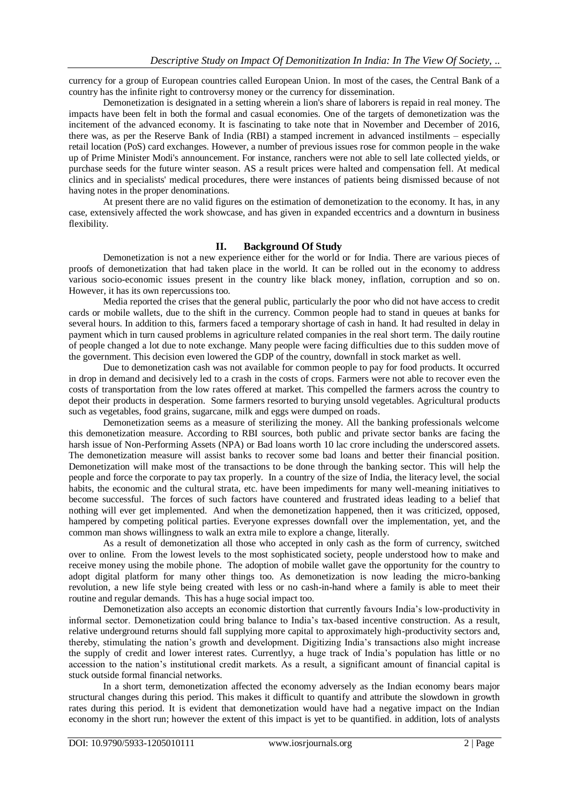currency for a group of European countries called European Union. In most of the cases, the Central Bank of a country has the infinite right to controversy money or the currency for dissemination.

Demonetization is designated in a setting wherein a lion's share of laborers is repaid in real money. The impacts have been felt in both the formal and casual economies. One of the targets of demonetization was the incitement of the advanced economy. It is fascinating to take note that in November and December of 2016, there was, as per the Reserve Bank of India (RBI) a stamped increment in advanced instilments – especially retail location (PoS) card exchanges. However, a number of previous issues rose for common people in the wake up of Prime Minister Modi's announcement. For instance, ranchers were not able to sell late collected yields, or purchase seeds for the future winter season. AS a result prices were halted and compensation fell. At medical clinics and in specialists' medical procedures, there were instances of patients being dismissed because of not having notes in the proper denominations.

At present there are no valid figures on the estimation of demonetization to the economy. It has, in any case, extensively affected the work showcase, and has given in expanded eccentrics and a downturn in business flexibility.

# **II. Background Of Study**

Demonetization is not a new experience either for the world or for India. There are various pieces of proofs of demonetization that had taken place in the world. It can be rolled out in the economy to address various socio-economic issues present in the country like black money, inflation, corruption and so on. However, it has its own repercussions too.

Media reported the crises that the general public, particularly the poor who did not have access to credit cards or mobile wallets, due to the shift in the currency. Common people had to stand in queues at banks for several hours. In addition to this, farmers faced a temporary shortage of cash in hand. It had resulted in delay in payment which in turn caused problems in agriculture related companies in the real short term. The daily routine of people changed a lot due to note exchange. Many people were facing difficulties due to this sudden move of the government. This decision even lowered the GDP of the country, downfall in stock market as well.

Due to demonetization cash was not available for common people to pay for food products. It occurred in drop in demand and decisively led to a crash in the costs of crops. Farmers were not able to recover even the costs of transportation from the low rates offered at market. This compelled the farmers across the country to depot their products in desperation. Some farmers resorted to burying unsold vegetables. Agricultural products such as vegetables, food grains, sugarcane, milk and eggs were dumped on roads.

Demonetization seems as a measure of sterilizing the money. All the banking professionals welcome this demonetization measure. According to RBI sources, both public and private sector banks are facing the harsh issue of Non-Performing Assets (NPA) or Bad loans worth 10 lac crore including the underscored assets. The demonetization measure will assist banks to recover some bad loans and better their financial position. Demonetization will make most of the transactions to be done through the banking sector. This will help the people and force the corporate to pay tax properly. In a country of the size of India, the literacy level, the social habits, the economic and the cultural strata, etc. have been impediments for many well-meaning initiatives to become successful. The forces of such factors have countered and frustrated ideas leading to a belief that nothing will ever get implemented. And when the demonetization happened, then it was criticized, opposed, hampered by competing political parties. Everyone expresses downfall over the implementation, yet, and the common man shows willingness to walk an extra mile to explore a change, literally.

As a result of demonetization all those who accepted in only cash as the form of currency, switched over to online. From the lowest levels to the most sophisticated society, people understood how to make and receive money using the mobile phone. The adoption of mobile wallet gave the opportunity for the country to adopt digital platform for many other things too. As demonetization is now leading the micro-banking revolution, a new life style being created with less or no cash-in-hand where a family is able to meet their routine and regular demands. This has a huge social impact too.

Demonetization also accepts an economic distortion that currently favours India's low-productivity in informal sector. Demonetization could bring balance to India's tax-based incentive construction. As a result, relative underground returns should fall supplying more capital to approximately high-productivity sectors and, thereby, stimulating the nation's growth and development. Digitizing India's transactions also might increase the supply of credit and lower interest rates. Currentlyy, a huge track of India's population has little or no accession to the nation's institutional credit markets. As a result, a significant amount of financial capital is stuck outside formal financial networks.

In a short term, demonetization affected the economy adversely as the Indian economy bears major structural changes during this period. This makes it difficult to quantify and attribute the slowdown in growth rates during this period. It is evident that demonetization would have had a negative impact on the Indian economy in the short run; however the extent of this impact is yet to be quantified. in addition, lots of analysts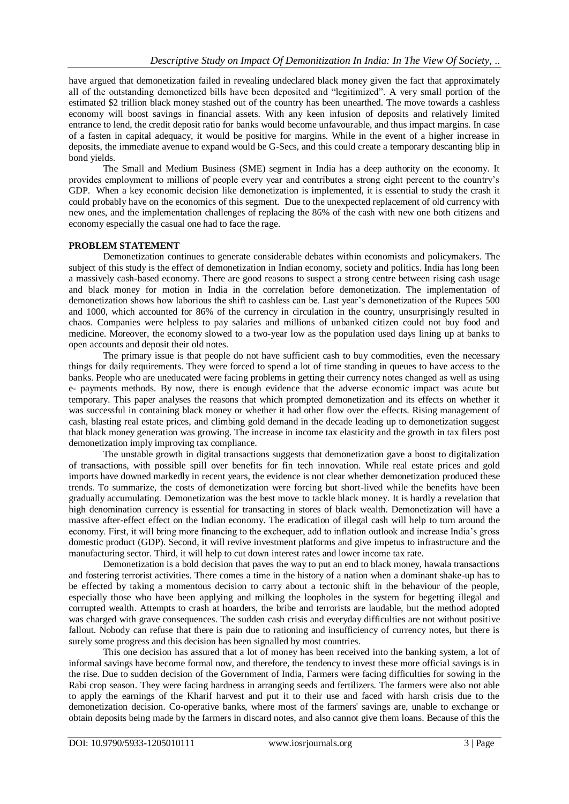have argued that demonetization failed in revealing undeclared black money given the fact that approximately all of the outstanding demonetized bills have been deposited and "legitimized". A very small portion of the estimated \$2 trillion black money stashed out of the country has been unearthed. The move towards a cashless economy will boost savings in financial assets. With any keen infusion of deposits and relatively limited entrance to lend, the credit deposit ratio for banks would become unfavourable, and thus impact margins. In case of a fasten in capital adequacy, it would be positive for margins. While in the event of a higher increase in deposits, the immediate avenue to expand would be G-Secs, and this could create a temporary descanting blip in bond yields.

The Small and Medium Business (SME) segment in India has a deep authority on the economy. It provides employment to millions of people every year and contributes a strong eight percent to the country's GDP. When a key economic decision like demonetization is implemented, it is essential to study the crash it could probably have on the economics of this segment. Due to the unexpected replacement of old currency with new ones, and the implementation challenges of replacing the 86% of the cash with new one both citizens and economy especially the casual one had to face the rage.

## **PROBLEM STATEMENT**

Demonetization continues to generate considerable debates within economists and policymakers. The subject of this study is the effect of demonetization in Indian economy, society and politics. India has long been a massively cash-based economy. There are good reasons to suspect a strong centre between rising cash usage and black money for motion in India in the correlation before demonetization. The implementation of demonetization shows how laborious the shift to cashless can be. Last year's demonetization of the Rupees 500 and 1000, which accounted for 86% of the currency in circulation in the country, unsurprisingly resulted in chaos. Companies were helpless to pay salaries and millions of unbanked citizen could not buy food and medicine. Moreover, the economy slowed to a two-year low as the population used days lining up at banks to open accounts and deposit their old notes.

The primary issue is that people do not have sufficient cash to buy commodities, even the necessary things for daily requirements. They were forced to spend a lot of time standing in queues to have access to the banks. People who are uneducated were facing problems in getting their currency notes changed as well as using e- payments methods. By now, there is enough evidence that the adverse economic impact was acute but temporary. This paper analyses the reasons that which prompted demonetization and its effects on whether it was successful in containing black money or whether it had other flow over the effects. Rising management of cash, blasting real estate prices, and climbing gold demand in the decade leading up to demonetization suggest that black money generation was growing. The increase in income tax elasticity and the growth in tax filers post demonetization imply improving tax compliance.

The unstable growth in digital transactions suggests that demonetization gave a boost to digitalization of transactions, with possible spill over benefits for fin tech innovation. While real estate prices and gold imports have downed markedly in recent years, the evidence is not clear whether demonetization produced these trends. To summarize, the costs of demonetization were forcing but short-lived while the benefits have been gradually accumulating. Demonetization was the best move to tackle black money. It is hardly a revelation that high denomination currency is essential for transacting in stores of black wealth. Demonetization will have a massive after-effect effect on the Indian economy. The eradication of illegal cash will help to turn around the economy. First, it will bring more financing to the exchequer, add to inflation outlook and increase India's gross domestic product (GDP). Second, it will revive investment platforms and give impetus to infrastructure and the manufacturing sector. Third, it will help to cut down interest rates and lower income tax rate.

Demonetization is a bold decision that paves the way to put an end to black money, hawala transactions and fostering terrorist activities. There comes a time in the history of a nation when a dominant shake-up has to be effected by taking a momentous decision to carry about a tectonic shift in the behaviour of the people, especially those who have been applying and milking the loopholes in the system for begetting illegal and corrupted wealth. Attempts to crash at hoarders, the bribe and terrorists are laudable, but the method adopted was charged with grave consequences. The sudden cash crisis and everyday difficulties are not without positive fallout. Nobody can refuse that there is pain due to rationing and insufficiency of currency notes, but there is surely some progress and this decision has been signalled by most countries.

This one decision has assured that a lot of money has been received into the banking system, a lot of informal savings have become formal now, and therefore, the tendency to invest these more official savings is in the rise. Due to sudden decision of the Government of India, Farmers were facing difficulties for sowing in the Rabi crop season. They were facing hardness in arranging seeds and fertilizers. The farmers were also not able to apply the earnings of the Kharif harvest and put it to their use and faced with harsh crisis due to the demonetization decision. Co-operative banks, where most of the farmers' savings are, unable to exchange or obtain deposits being made by the farmers in discard notes, and also cannot give them loans. Because of this the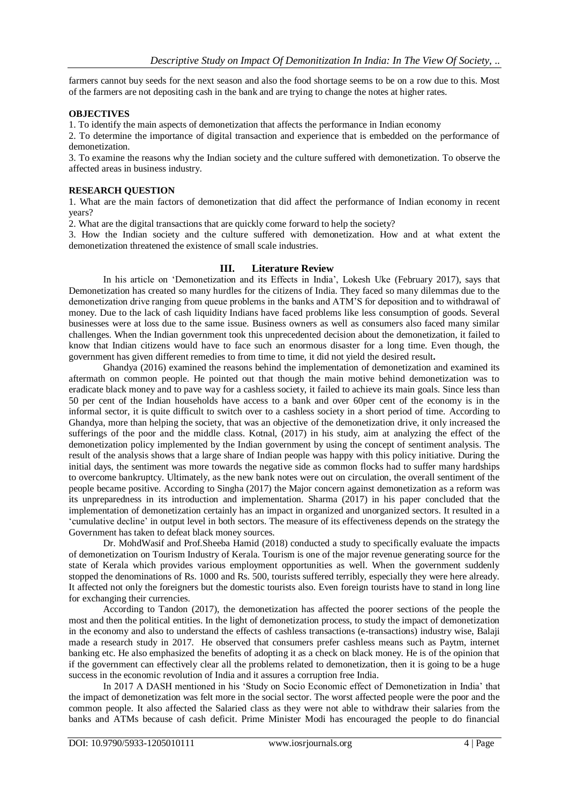farmers cannot buy seeds for the next season and also the food shortage seems to be on a row due to this. Most of the farmers are not depositing cash in the bank and are trying to change the notes at higher rates.

## **OBJECTIVES**

1. To identify the main aspects of demonetization that affects the performance in Indian economy

2. To determine the importance of digital transaction and experience that is embedded on the performance of demonetization.

3. To examine the reasons why the Indian society and the culture suffered with demonetization. To observe the affected areas in business industry.

# **RESEARCH QUESTION**

1. What are the main factors of demonetization that did affect the performance of Indian economy in recent years?

2. What are the digital transactions that are quickly come forward to help the society?

3. How the Indian society and the culture suffered with demonetization. How and at what extent the demonetization threatened the existence of small scale industries.

## **III. Literature Review**

In his article on 'Demonetization and its Effects in India', Lokesh Uke (February 2017), says that Demonetization has created so many hurdles for the citizens of India. They faced so many dilemmas due to the demonetization drive ranging from queue problems in the banks and ATM'S for deposition and to withdrawal of money. Due to the lack of cash liquidity Indians have faced problems like less consumption of goods. Several businesses were at loss due to the same issue. Business owners as well as consumers also faced many similar challenges. When the Indian government took this unprecedented decision about the demonetization, it failed to know that Indian citizens would have to face such an enormous disaster for a long time. Even though, the government has given different remedies to from time to time, it did not yield the desired result**.**

Ghandya (2016) examined the reasons behind the implementation of demonetization and examined its aftermath on common people. He pointed out that though the main motive behind demonetization was to eradicate black money and to pave way for a cashless society, it failed to achieve its main goals. Since less than 50 per cent of the Indian households have access to a bank and over 60per cent of the economy is in the informal sector, it is quite difficult to switch over to a cashless society in a short period of time. According to Ghandya, more than helping the society, that was an objective of the demonetization drive, it only increased the sufferings of the poor and the middle class. Kotnal, (2017) in his study, aim at analyzing the effect of the demonetization policy implemented by the Indian government by using the concept of sentiment analysis. The result of the analysis shows that a large share of Indian people was happy with this policy initiative. During the initial days, the sentiment was more towards the negative side as common flocks had to suffer many hardships to overcome bankruptcy. Ultimately, as the new bank notes were out on circulation, the overall sentiment of the people became positive. According to Singha (2017) the Major concern against demonetization as a reform was its unpreparedness in its introduction and implementation. Sharma (2017) in his paper concluded that the implementation of demonetization certainly has an impact in organized and unorganized sectors. It resulted in a 'cumulative decline' in output level in both sectors. The measure of its effectiveness depends on the strategy the Government has taken to defeat black money sources.

Dr. MohdWasif and Prof.Sheeba Hamid (2018) conducted a study to specifically evaluate the impacts of demonetization on Tourism Industry of Kerala. Tourism is one of the major revenue generating source for the state of Kerala which provides various employment opportunities as well. When the government suddenly stopped the denominations of Rs. 1000 and Rs. 500, tourists suffered terribly, especially they were here already. It affected not only the foreigners but the domestic tourists also. Even foreign tourists have to stand in long line for exchanging their currencies.

According to Tandon (2017), the demonetization has affected the poorer sections of the people the most and then the political entities. In the light of demonetization process, to study the impact of demonetization in the economy and also to understand the effects of cashless transactions (e-transactions) industry wise, Balaji made a research study in 2017. He observed that consumers prefer cashless means such as Paytm, internet banking etc. He also emphasized the benefits of adopting it as a check on black money. He is of the opinion that if the government can effectively clear all the problems related to demonetization, then it is going to be a huge success in the economic revolution of India and it assures a corruption free India.

In 2017 A DASH mentioned in his 'Study on Socio Economic effect of Demonetization in India' that the impact of demonetization was felt more in the social sector. The worst affected people were the poor and the common people. It also affected the Salaried class as they were not able to withdraw their salaries from the banks and ATMs because of cash deficit. Prime Minister Modi has encouraged the people to do financial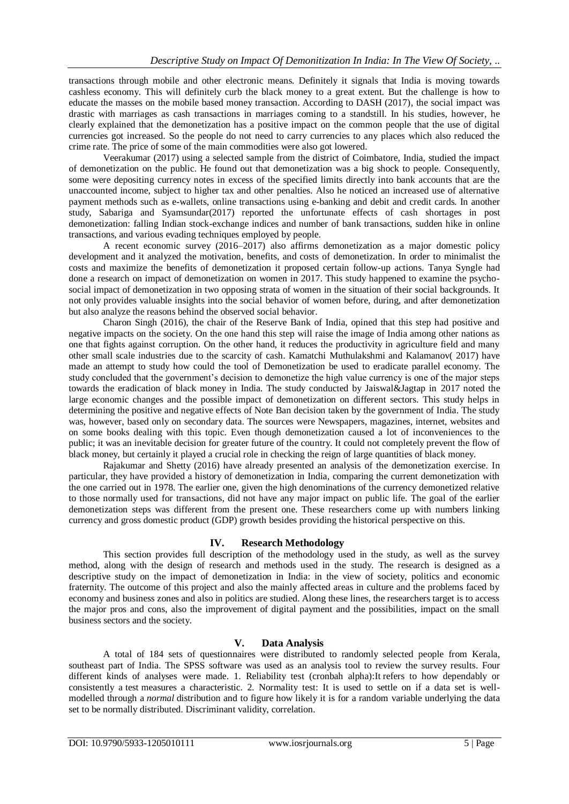transactions through mobile and other electronic means. Definitely it signals that India is moving towards cashless economy. This will definitely curb the black money to a great extent. But the challenge is how to educate the masses on the mobile based money transaction. According to DASH (2017), the social impact was drastic with marriages as cash transactions in marriages coming to a standstill. In his studies, however, he clearly explained that the demonetization has a positive impact on the common people that the use of digital currencies got increased. So the people do not need to carry currencies to any places which also reduced the crime rate. The price of some of the main commodities were also got lowered.

Veerakumar (2017) using a selected sample from the district of Coimbatore, India, studied the impact of demonetization on the public. He found out that demonetization was a big shock to people. Consequently, some were depositing currency notes in excess of the specified limits directly into bank accounts that are the unaccounted income, subject to higher tax and other penalties. Also he noticed an increased use of alternative payment methods such as e-wallets, online transactions using e-banking and debit and credit cards. In another study, Sabariga and Syamsundar(2017) reported the unfortunate effects of cash shortages in post demonetization: falling Indian stock-exchange indices and number of bank transactions, sudden hike in online transactions, and various evading techniques employed by people.

A recent economic survey (2016–2017) also affirms demonetization as a major domestic policy development and it analyzed the motivation, benefits, and costs of demonetization. In order to minimalist the costs and maximize the benefits of demonetization it proposed certain follow-up actions. Tanya Syngle had done a research on impact of demonetization on women in 2017. This study happened to examine the psychosocial impact of demonetization in two opposing strata of women in the situation of their social backgrounds. It not only provides valuable insights into the social behavior of women before, during, and after demonetization but also analyze the reasons behind the observed social behavior.

Charon Singh (2016), the chair of the Reserve Bank of India, opined that this step had positive and negative impacts on the society. On the one hand this step will raise the image of India among other nations as one that fights against corruption. On the other hand, it reduces the productivity in agriculture field and many other small scale industries due to the scarcity of cash. Kamatchi Muthulakshmi and Kalamanov( 2017) have made an attempt to study how could the tool of Demonetization be used to eradicate parallel economy. The study concluded that the government's decision to demonetize the high value currency is one of the major steps towards the eradication of black money in India. The study conducted by Jaiswal&Jagtap in 2017 noted the large economic changes and the possible impact of demonetization on different sectors. This study helps in determining the positive and negative effects of Note Ban decision taken by the government of India. The study was, however, based only on secondary data. The sources were Newspapers, magazines, internet, websites and on some books dealing with this topic. Even though demonetization caused a lot of inconveniences to the public; it was an inevitable decision for greater future of the country. It could not completely prevent the flow of black money, but certainly it played a crucial role in checking the reign of large quantities of black money.

Rajakumar and Shetty (2016) have already presented an analysis of the demonetization exercise. In particular, they have provided a history of demonetization in India, comparing the current demonetization with the one carried out in 1978. The earlier one, given the high denominations of the currency demonetized relative to those normally used for transactions, did not have any major impact on public life. The goal of the earlier demonetization steps was different from the present one. These researchers come up with numbers linking currency and gross domestic product (GDP) growth besides providing the historical perspective on this.

# **IV. Research Methodology**

This section provides full description of the methodology used in the study, as well as the survey method, along with the design of research and methods used in the study. The research is designed as a descriptive study on the impact of demonetization in India: in the view of society, politics and economic fraternity. The outcome of this project and also the mainly affected areas in culture and the problems faced by economy and business zones and also in politics are studied. Along these lines, the researchers target is to access the major pros and cons, also the improvement of digital payment and the possibilities, impact on the small business sectors and the society.

# **V. Data Analysis**

A total of 184 sets of questionnaires were distributed to randomly selected people from Kerala, southeast part of India. The SPSS software was used as an analysis tool to review the survey results. Four different kinds of analyses were made. 1. Reliability test (cronbah alpha):It refers to how dependably or consistently a test measures a characteristic. 2. Normality test: It is used to settle on if a data set is wellmodelled through a *normal* distribution and to figure how likely it is for a random variable underlying the data set to be normally distributed. Discriminant validity, correlation.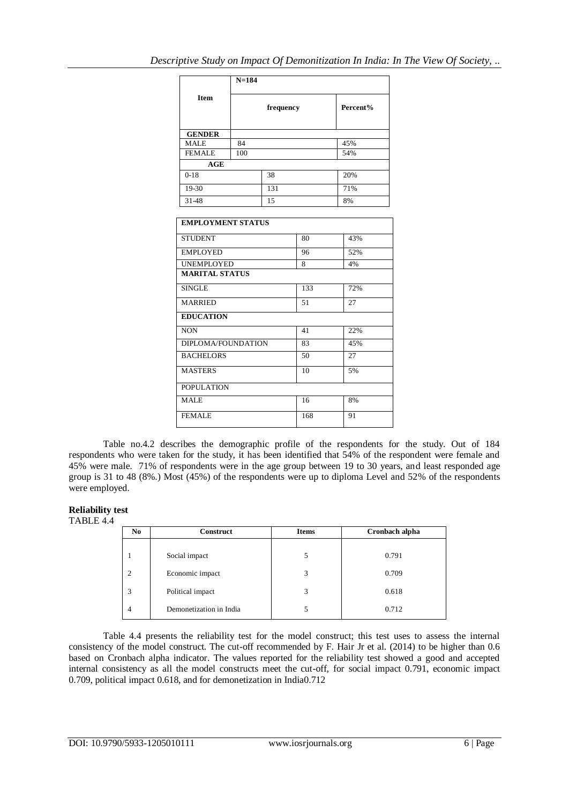|               | $N = 184$             |     |     |  |
|---------------|-----------------------|-----|-----|--|
| <b>Item</b>   | Percent%<br>frequency |     |     |  |
| <b>GENDER</b> |                       |     |     |  |
| <b>MALE</b>   | 84                    |     | 45% |  |
| <b>FEMALE</b> | 100                   |     | 54% |  |
| AGE           |                       |     |     |  |
| $0-18$        |                       | 38  | 20% |  |
| 19-30         |                       | 131 | 71% |  |
| 31-48         |                       | 15  | 8%  |  |
|               |                       |     |     |  |

| <b>EMPLOYMENT STATUS</b> |     |     |
|--------------------------|-----|-----|
| <b>STUDENT</b>           | 80  | 43% |
| <b>EMPLOYED</b>          | 96  | 52% |
| <b>UNEMPLOYED</b>        | 8   | 4%  |
| <b>MARITAL STATUS</b>    |     |     |
| <b>SINGLE</b>            | 133 | 72% |
| <b>MARRIED</b>           | 51  | 27  |
| <b>EDUCATION</b>         |     |     |
| <b>NON</b>               | 41  | 22% |
| DIPLOMA/FOUNDATION       | 83  | 45% |
| <b>BACHELORS</b>         | 50  | 27  |
| <b>MASTERS</b>           | 10  | 5%  |
| <b>POPULATION</b>        |     |     |
| MALE                     | 16  | 8%  |
| <b>FEMALE</b>            | 168 | 91  |

Table no.4.2 describes the demographic profile of the respondents for the study. Out of 184 respondents who were taken for the study, it has been identified that 54% of the respondent were female and 45% were male. 71% of respondents were in the age group between 19 to 30 years, and least responded age group is 31 to 48 (8%.) Most (45%) of the respondents were up to diploma Level and 52% of the respondents were employed.

## **Reliability test**

TABLE 4.4

| N <sub>0</sub> | <b>Construct</b>        | <b>Items</b> | Cronbach alpha |
|----------------|-------------------------|--------------|----------------|
|                | Social impact           | 5            | 0.791          |
| $\overline{c}$ | Economic impact         | 3            | 0.709          |
| 3              | Political impact        | 3            | 0.618          |
| 4              | Demonetization in India | 5            | 0.712          |

Table 4.4 presents the reliability test for the model construct; this test uses to assess the internal consistency of the model construct. The cut-off recommended by F. Hair Jr et al. (2014) to be higher than 0.6 based on Cronbach alpha indicator. The values reported for the reliability test showed a good and accepted internal consistency as all the model constructs meet the cut-off, for social impact 0.791, economic impact 0.709, political impact 0.618, and for demonetization in India0.712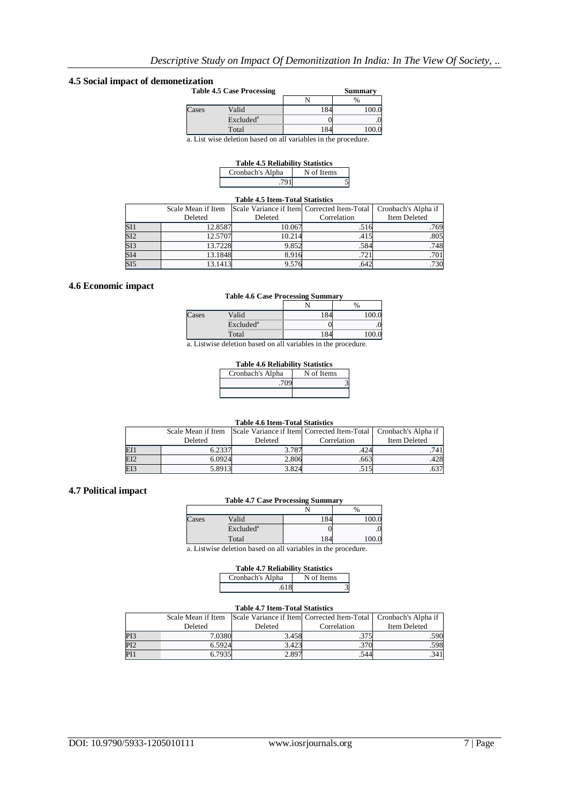# **4.5 Social impact of demonetization**

| <b>Table 4.5 Case Processing</b> |                       | <b>Summary</b> |
|----------------------------------|-----------------------|----------------|
|                                  |                       | $\%$           |
| Cases                            | Valid                 |                |
|                                  | Excluded <sup>a</sup> |                |
|                                  | Total                 |                |

a. List wise deletion based on all variables in the procedure.

| <b>Table 4.5 Reliability Statistics</b> |            |  |  |
|-----------------------------------------|------------|--|--|
| Cronbach's Alpha                        | N of Items |  |  |
| .791                                    |            |  |  |

## **Table 4.5 Item-Total Statistics**

|                         | Scale Mean if Item |         | Scale Variance if Item Corrected Item-Total | Cronbach's Alpha if |
|-------------------------|--------------------|---------|---------------------------------------------|---------------------|
|                         | Deleted            | Deleted | Correlation                                 | Item Deleted        |
| SI1                     | 12.8587            | 10.067  | 10.                                         | .769                |
| $\overline{\text{SI2}}$ | 12.5707            | 10.214  | .415                                        | .805                |
| $\overline{\text{SI3}}$ | 13.7228            | 9.852   | .584                                        | .748                |
| SI4                     | 13.1848            | 8.916   | .721                                        | .701                |
| $\overline{\text{SI5}}$ | 13.1413            | 9.576   | .642                                        | .730                |

## **4.6 Economic impact**

#### **Table 4.6 Case Processing Summary**

|              |                       |               | %          |
|--------------|-----------------------|---------------|------------|
| Cases        | Valid                 | 184           | $_{100.0}$ |
|              | Excluded <sup>a</sup> |               | ٠.         |
|              | Total                 | 184           | 100.0      |
| $\mathbf{r}$ | 1.1.1<br>11           | $\cdots$<br>. |            |

a. Listwise deletion based on all variables in the procedure.

#### **Table 4.6 Reliability Statistics**

| Cronbach's Alpha | N of Items |  |
|------------------|------------|--|
|                  |            |  |
|                  |            |  |

#### **Table 4.6 Item-Total Statistics**

|     |         |         | Scale Mean if Item Scale Variance if Item Corrected Item-Total   Cronbach's Alpha if |              |
|-----|---------|---------|--------------------------------------------------------------------------------------|--------------|
|     | Deleted | Deleted | Correlation                                                                          | Item Deleted |
| ΕI  | 0.2337  | 3.787   | .424                                                                                 |              |
| EI2 | 6.0924  | 2.806   | .663                                                                                 | .428         |
| EI3 | 5.8913  | 3.824   |                                                                                      |              |

## **4.7 Political impact**

#### **Table 4.7 Case Processing Summary**

|       |                       |     | $\frac{0}{6}$ |
|-------|-----------------------|-----|---------------|
| Cases | Valid                 | 184 | 100.0         |
|       | Excluded <sup>a</sup> |     | .∪            |
|       | Total                 | 184 | 100.0         |

a. Listwise deletion based on all variables in the procedure.

| <b>Table 4.7 Reliability Statistics</b> |            |  |  |
|-----------------------------------------|------------|--|--|
| Cronbach's Alpha                        | N of Items |  |  |
| .618                                    |            |  |  |

#### **Table 4.7 Item-Total Statistics**

|                 | Scale Mean if Item |         | Scale Variance if Item Corrected Item-Total   Cronbach's Alpha if |              |
|-----------------|--------------------|---------|-------------------------------------------------------------------|--------------|
|                 | Deleted            | Deleted | Correlation                                                       | Item Deleted |
| P <sub>I3</sub> | 7.0380             | 3.458   |                                                                   | .590         |
| PI2             | 6.5924             | 3.423   |                                                                   | .598         |
| PI1             | 6.7935             | 2.897   |                                                                   |              |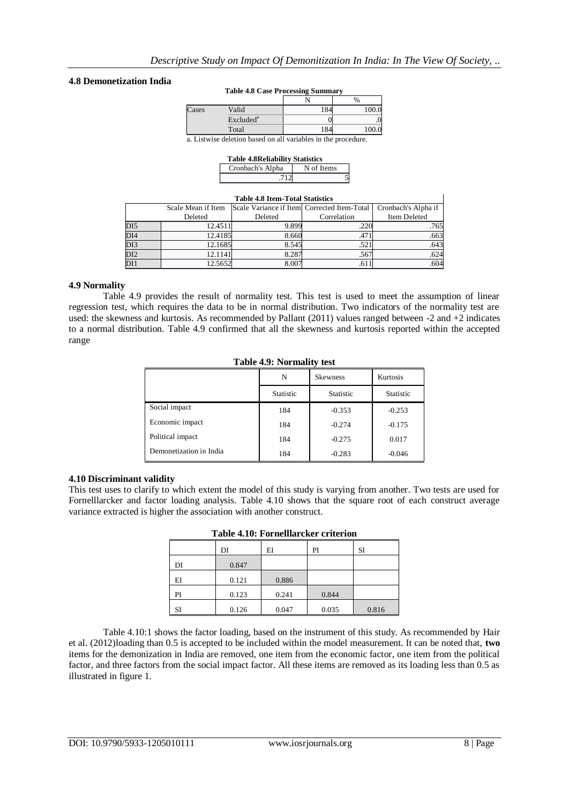## **4.8 Demonetization India**

#### **Table 4.8 Case Processing Summary**

|       |                       | . . |       |
|-------|-----------------------|-----|-------|
|       |                       |     | $\%$  |
| Cases | Valid                 | 184 | 100.0 |
|       | Excluded <sup>a</sup> |     | .0    |
|       | Total                 | 184 | 100.0 |
|       |                       |     |       |

a. Listwise deletion based on all variables in the procedure.

| <b>Table 4.8 Reliability Statistics</b> |            |  |  |  |  |
|-----------------------------------------|------------|--|--|--|--|
| Cronbach's Alpha                        | N of Items |  |  |  |  |
| .712                                    |            |  |  |  |  |

| <b>Table 4.8 Item-Total Statistics</b>            |                                                                                          |       |      |      |  |  |  |
|---------------------------------------------------|------------------------------------------------------------------------------------------|-------|------|------|--|--|--|
|                                                   | Scale Variance if Item Corrected Item-Total<br>Cronbach's Alpha if<br>Scale Mean if Item |       |      |      |  |  |  |
| Item Deleted<br>Deleted<br>Correlation<br>Deleted |                                                                                          |       |      |      |  |  |  |
| DI <sub>5</sub>                                   | 12.4511                                                                                  | 9.899 |      | .765 |  |  |  |
| DI4                                               | 12.4185                                                                                  | 8.660 | .47  | .663 |  |  |  |
| DI3                                               | 12.1685                                                                                  | 8.545 | .52  | .643 |  |  |  |
| DI <sub>2</sub>                                   | 12.1141                                                                                  | 8.287 | .567 | .624 |  |  |  |
| DI1                                               | 12.5652                                                                                  | 8.007 | .61  | .604 |  |  |  |

## **4.9 Normality**

Table 4.9 provides the result of normality test. This test is used to meet the assumption of linear regression test, which requires the data to be in normal distribution. Two indicators of the normality test are used: the skewness and kurtosis. As recommended by Pallant (2011) values ranged between -2 and +2 indicates to a normal distribution. Table 4.9 confirmed that all the skewness and kurtosis reported within the accepted range

|  | Table 4.9: Normality test |  |  |
|--|---------------------------|--|--|
|  |                           |  |  |

|                         | N                | <b>Skewness</b>  |                  |
|-------------------------|------------------|------------------|------------------|
|                         | <b>Statistic</b> | <b>Statistic</b> | <b>Statistic</b> |
| Social impact           | 184              | $-0.353$         | $-0.253$         |
| Economic impact         | 184              | $-0.274$         | $-0.175$         |
| Political impact        | 184              | $-0.275$         | 0.017            |
| Demonetization in India | 184              | $-0.283$         | $-0.046$         |

### **4.10 Discriminant validity**

This test uses to clarify to which extent the model of this study is varying from another. Two tests are used for Fornelllarcker and factor loading analysis. Table 4.10 shows that the square root of each construct average variance extracted is higher the association with another construct.

|    | DI    | EI    | PI    | SI    |
|----|-------|-------|-------|-------|
|    |       |       |       |       |
| DI | 0.847 |       |       |       |
| ΕI | 0.121 | 0.886 |       |       |
| PI | 0.123 | 0.241 | 0.844 |       |
| SI | 0.126 | 0.047 | 0.035 | 0.816 |

#### **Table 4.10: Fornelllarcker criterion**

Table 4.10:1 shows the factor loading, based on the instrument of this study. As recommended by Hair et al. (2012)loading than 0.5 is accepted to be included within the model measurement. It can be noted that, **two** items for the demonization in India are removed, one item from the economic factor, one item from the political factor, and three factors from the social impact factor. All these items are removed as its loading less than 0.5 as illustrated in figure 1.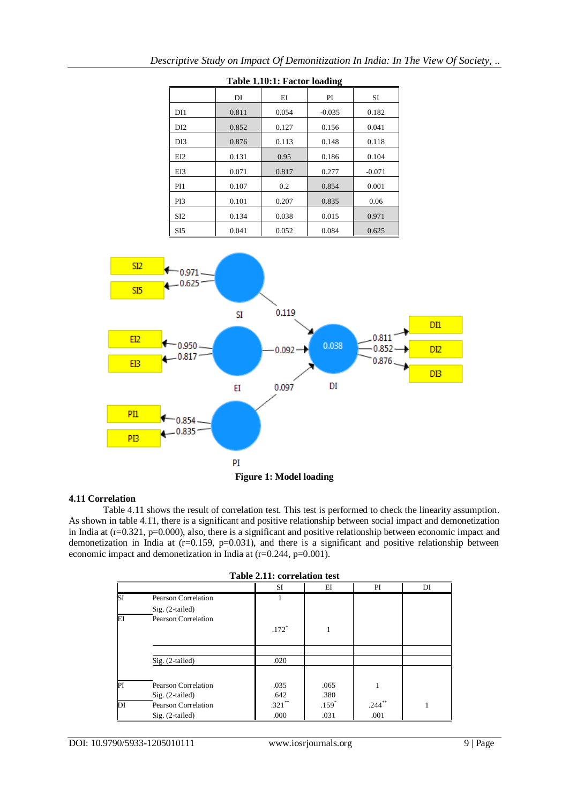| Table 1.10:1: Factor loading |                      |       |          |          |  |  |  |  |
|------------------------------|----------------------|-------|----------|----------|--|--|--|--|
|                              | EI<br>PI<br>DI<br>SI |       |          |          |  |  |  |  |
| DI1                          | 0.811                | 0.054 | $-0.035$ | 0.182    |  |  |  |  |
| DI <sub>2</sub>              | 0.852                | 0.127 | 0.156    | 0.041    |  |  |  |  |
| DI3                          | 0.876                | 0.113 | 0.148    | 0.118    |  |  |  |  |
| EI2                          | 0.131                | 0.95  | 0.186    | 0.104    |  |  |  |  |
| EI3                          | 0.071                | 0.817 | 0.277    | $-0.071$ |  |  |  |  |
| PI1                          | 0.107                | 0.2   | 0.854    | 0.001    |  |  |  |  |
| PI3                          | 0.101                | 0.207 | 0.835    | 0.06     |  |  |  |  |
| SI <sub>2</sub>              | 0.134                | 0.038 | 0.015    | 0.971    |  |  |  |  |
| SI <sub>5</sub>              | 0.041                | 0.052 | 0.084    | 0.625    |  |  |  |  |



## **4.11 Correlation**

Table 4.11 shows the result of correlation test. This test is performed to check the linearity assumption. As shown in table 4.11, there is a significant and positive relationship between social impact and demonetization in India at (r=0.321, p=0.000), also, there is a significant and positive relationship between economic impact and demonetization in India at (r=0.159, p=0.031), and there is a significant and positive relationship between economic impact and demonetization in India at (r=0.244, p=0.001).

|    | Table 2.11: correlation test |         |         |      |    |  |  |  |
|----|------------------------------|---------|---------|------|----|--|--|--|
|    |                              | SI      | ΕI      | PI   | DI |  |  |  |
| SI | Pearson Correlation          |         |         |      |    |  |  |  |
|    | $Sig. (2-tailed)$            |         |         |      |    |  |  |  |
| ΕI | Pearson Correlation          |         |         |      |    |  |  |  |
|    |                              | $.172*$ |         |      |    |  |  |  |
|    |                              |         |         |      |    |  |  |  |
|    |                              |         |         |      |    |  |  |  |
|    | Sig. (2-tailed)              | .020    |         |      |    |  |  |  |
|    |                              |         |         |      |    |  |  |  |
| PI | Pearson Correlation          | .035    | .065    |      |    |  |  |  |
|    | $Sig. (2-tailed)$            | .642    | .380    |      |    |  |  |  |
| DI | Pearson Correlation          | .321    | $.159*$ | .244 |    |  |  |  |

Sig. (2-tailed) .000 .031 .001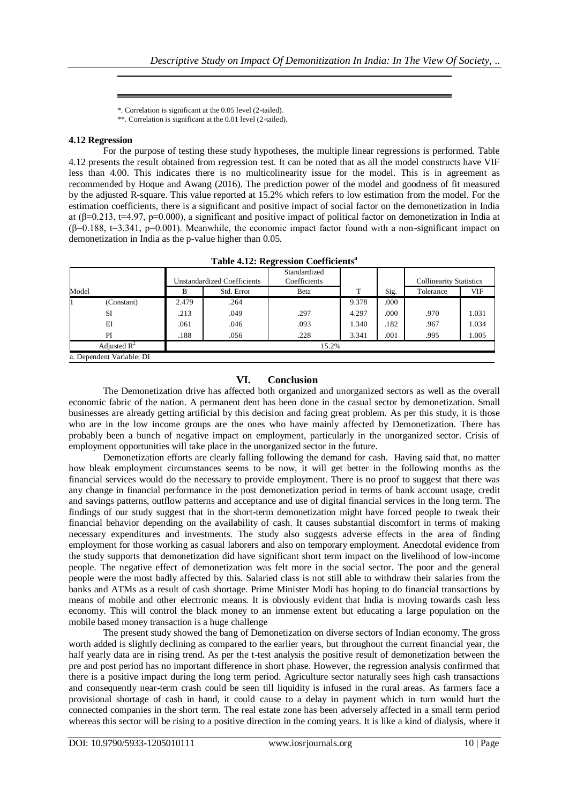\*. Correlation is significant at the 0.05 level (2-tailed). \*\*. Correlation is significant at the 0.01 level (2-tailed).

# **4.12 Regression**

For the purpose of testing these study hypotheses, the multiple linear regressions is performed. Table 4.12 presents the result obtained from regression test. It can be noted that as all the model constructs have VIF less than 4.00. This indicates there is no multicolinearity issue for the model. This is in agreement as recommended by Hoque and Awang (2016). The prediction power of the model and goodness of fit measured by the adjusted R-square. This value reported at 15.2% which refers to low estimation from the model. For the estimation coefficients, there is a significant and positive impact of social factor on the demonetization in India at ( $\beta$ =0.213, t=4.97, p=0.000), a significant and positive impact of political factor on demonetization in India at  $(\beta=0.188, t=3.341, p=0.001)$ . Meanwhile, the economic impact factor found with a non-significant impact on demonetization in India as the p-value higher than 0.05.

|                           | Table 4.12. Regi ession Coefficients |                                    |                              |       |      |                                |       |  |
|---------------------------|--------------------------------------|------------------------------------|------------------------------|-------|------|--------------------------------|-------|--|
|                           |                                      | <b>Unstandardized Coefficients</b> | Standardized<br>Coefficients |       |      | <b>Collinearity Statistics</b> |       |  |
| Model                     | B                                    | Std. Error                         | Beta                         | т     | Sig. | Tolerance                      | VIF   |  |
| (Constant)                | 2.479                                | .264                               |                              | 9.378 | .000 |                                |       |  |
| SI                        | .213                                 | .049                               | .297                         | 4.297 | .000 | .970                           | 1.031 |  |
| ΕI                        | .061                                 | .046                               | .093                         | 1.340 | .182 | .967                           | 1.034 |  |
| PI                        | .188                                 | .056                               | .228                         | 3.341 | .001 | .995                           | 1.005 |  |
| Adjusted $\mathbb{R}^2$   | 15.2%                                |                                    |                              |       |      |                                |       |  |
| a. Dependent Variable: DI |                                      |                                    |                              |       |      |                                |       |  |

**Table 4.12: Regression Coefficients<sup>a</sup>**

# **VI. Conclusion**

The Demonetization drive has affected both organized and unorganized sectors as well as the overall economic fabric of the nation. A permanent dent has been done in the casual sector by demonetization. Small businesses are already getting artificial by this decision and facing great problem. As per this study, it is those who are in the low income groups are the ones who have mainly affected by Demonetization. There has probably been a bunch of negative impact on employment, particularly in the unorganized sector. Crisis of employment opportunities will take place in the unorganized sector in the future.

Demonetization efforts are clearly falling following the demand for cash. Having said that, no matter how bleak employment circumstances seems to be now, it will get better in the following months as the financial services would do the necessary to provide employment. There is no proof to suggest that there was any change in financial performance in the post demonetization period in terms of bank account usage, credit and savings patterns, outflow patterns and acceptance and use of digital financial services in the long term. The findings of our study suggest that in the short-term demonetization might have forced people to tweak their financial behavior depending on the availability of cash. It causes substantial discomfort in terms of making necessary expenditures and investments. The study also suggests adverse effects in the area of finding employment for those working as casual laborers and also on temporary employment. Anecdotal evidence from the study supports that demonetization did have significant short term impact on the livelihood of low-income people. The negative effect of demonetization was felt more in the social sector. The poor and the general people were the most badly affected by this. Salaried class is not still able to withdraw their salaries from the banks and ATMs as a result of cash shortage. Prime Minister Modi has hoping to do financial transactions by means of mobile and other electronic means. It is obviously evident that India is moving towards cash less economy. This will control the black money to an immense extent but educating a large population on the mobile based money transaction is a huge challenge

The present study showed the bang of Demonetization on diverse sectors of Indian economy. The gross worth added is slightly declining as compared to the earlier years, but throughout the current financial year, the half yearly data are in rising trend. As per the t-test analysis the positive result of demonetization between the pre and post period has no important difference in short phase. However, the regression analysis confirmed that there is a positive impact during the long term period. Agriculture sector naturally sees high cash transactions and consequently near-term crash could be seen till liquidity is infused in the rural areas. As farmers face a provisional shortage of cash in hand, it could cause to a delay in payment which in turn would hurt the connected companies in the short term. The real estate zone has been adversely affected in a small term period whereas this sector will be rising to a positive direction in the coming years. It is like a kind of dialysis, where it